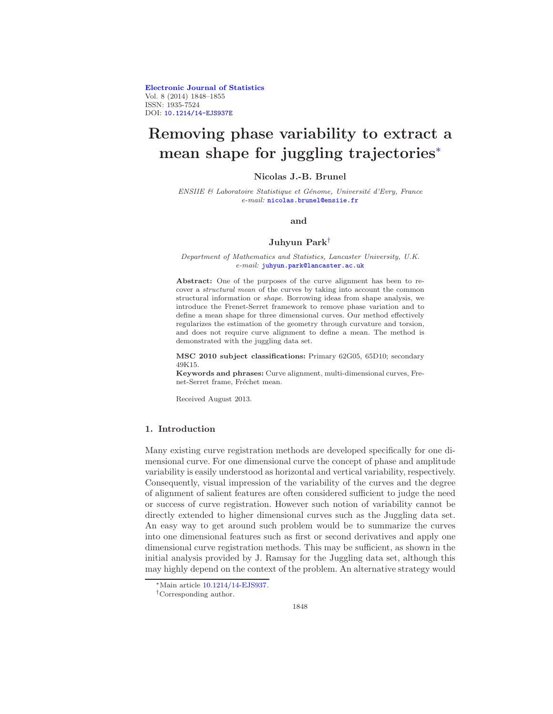[Electronic Journal of Statistics](http://projecteuclid.org/ejs) Vol. 8 (2014) 1848–1855 ISSN: 1935-7524 DOI: [10.1214/14-EJS937E](http://dx.doi.org/10.1214/14-EJS937E)

# Removing phase variability to extract a mean shape for juggling trajectories[∗](#page-0-0)

#### Nicolas J.-B. Brunel

*ENSIIE & Laboratoire Statistique et G´enome, Universit´e d'Evry, France e-mail:* [nicolas.brunel@ensiie.fr](mailto:nicolas.brunel@ensiie.fr)

#### and

#### Juhyun Park[†](#page-0-1)

*Department of Mathematics and Statistics, Lancaster University, U.K. e-mail:* [juhyun.park@lancaster.ac.uk](mailto:juhyun.park@lancaster.ac.uk)

Abstract: One of the purposes of the curve alignment has been to recover a *structural mean* of the curves by taking into account the common structural information or *shape*. Borrowing ideas from shape analysis, we introduce the Frenet-Serret framework to remove phase variation and to define a mean shape for three dimensional curves. Our method effectively regularizes the estimation of the geometry through curvature and torsion, and does not require curve alignment to define a mean. The method is demonstrated with the juggling data set.

MSC 2010 subject classifications: Primary 62G05, 65D10; secondary 49K15.

Keywords and phrases: Curve alignment, multi-dimensional curves, Frenet-Serret frame, Fréchet mean.

Received August 2013.

# 1. Introduction

Many existing curve registration methods are developed specifically for one dimensional curve. For one dimensional curve the concept of phase and amplitude variability is easily understood as horizontal and vertical variability, respectively. Consequently, visual impression of the variability of the curves and the degree of alignment of salient features are often considered sufficient to judge the need or success of curve registration. However such notion of variability cannot be directly extended to higher dimensional curves such as the Juggling data set. An easy way to get around such problem would be to summarize the curves into one dimensional features such as first or second derivatives and apply one dimensional curve registration methods. This may be sufficient, as shown in the initial analysis provided by J. Ramsay for the Juggling data set, although this may highly depend on the context of the problem. An alternative strategy would

<span id="page-0-0"></span><sup>∗</sup>Main article [10.1214/14-EJS937.](http://dx.doi.org/10.1214/14-EJS937)

<span id="page-0-1"></span><sup>†</sup>Corresponding author.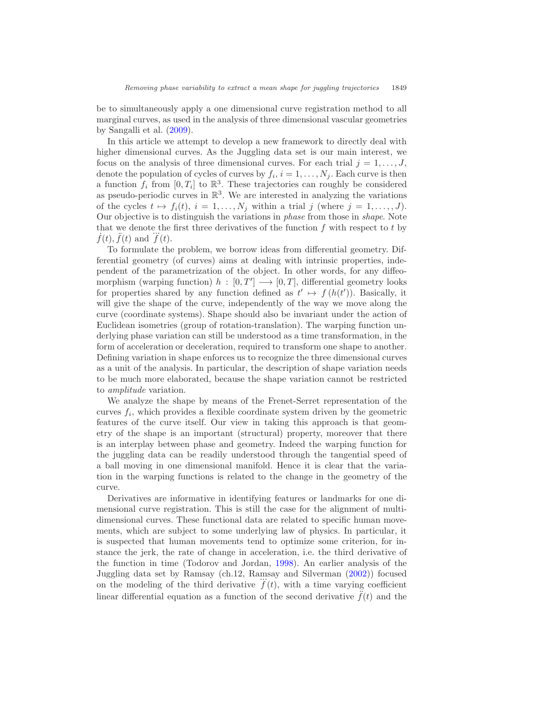be to simultaneously apply a one dimensional curve registration method to all marginal curves, as used in the analysis of three dimensional vascular geometries by Sangalli et al. [\(2009\)](#page-7-0).

In this article we attempt to develop a new framework to directly deal with higher dimensional curves. As the Juggling data set is our main interest, we focus on the analysis of three dimensional curves. For each trial  $j = 1, \ldots, J$ , denote the population of cycles of curves by  $f_i$ ,  $i = 1, \ldots, N_j$ . Each curve is then a function  $f_i$  from  $[0, T_i]$  to  $\mathbb{R}^3$ . These trajectories can roughly be considered as pseudo-periodic curves in  $\mathbb{R}^3$ . We are interested in analyzing the variations of the cycles  $t \mapsto f_i(t)$ ,  $i = 1, ..., N_j$  within a trial j (where  $j = 1, ..., J$ ). Our objective is to distinguish the variations in phase from those in shape. Note that we denote the first three derivatives of the function f with respect to t by  $\ddot{f}(t), \ddot{f}(t)$  and  $\dddot{f}(t)$ .

To formulate the problem, we borrow ideas from differential geometry. Differential geometry (of curves) aims at dealing with intrinsic properties, independent of the parametrization of the object. In other words, for any diffeomorphism (warping function)  $h : [0, T] \longrightarrow [0, T]$ , differential geometry looks for properties shared by any function defined as  $t' \mapsto f(h(t'))$ . Basically, it will give the shape of the curve, independently of the way we move along the curve (coordinate systems). Shape should also be invariant under the action of Euclidean isometries (group of rotation-translation). The warping function underlying phase variation can still be understood as a time transformation, in the form of acceleration or deceleration, required to transform one shape to another. Defining variation in shape enforces us to recognize the three dimensional curves as a unit of the analysis. In particular, the description of shape variation needs to be much more elaborated, because the shape variation cannot be restricted to amplitude variation.

We analyze the shape by means of the Frenet-Serret representation of the curves  $f_i$ , which provides a flexible coordinate system driven by the geometric features of the curve itself. Our view in taking this approach is that geometry of the shape is an important (structural) property, moreover that there is an interplay between phase and geometry. Indeed the warping function for the juggling data can be readily understood through the tangential speed of a ball moving in one dimensional manifold. Hence it is clear that the variation in the warping functions is related to the change in the geometry of the curve.

Derivatives are informative in identifying features or landmarks for one dimensional curve registration. This is still the case for the alignment of multidimensional curves. These functional data are related to specific human movements, which are subject to some underlying law of physics. In particular, it is suspected that human movements tend to optimize some criterion, for instance the jerk, the rate of change in acceleration, i.e. the third derivative of the function in time (Todorov and Jordan, [1998\)](#page-7-1). An earlier analysis of the Juggling data set by Ramsay (ch.12, Ramsay and Silverman [\(2002](#page-6-0))) focused ... on the modeling of the third derivative  $f(t)$ , with a time varying coefficient linear differential equation as a function of the second derivative  $\ddot{f}(t)$  and the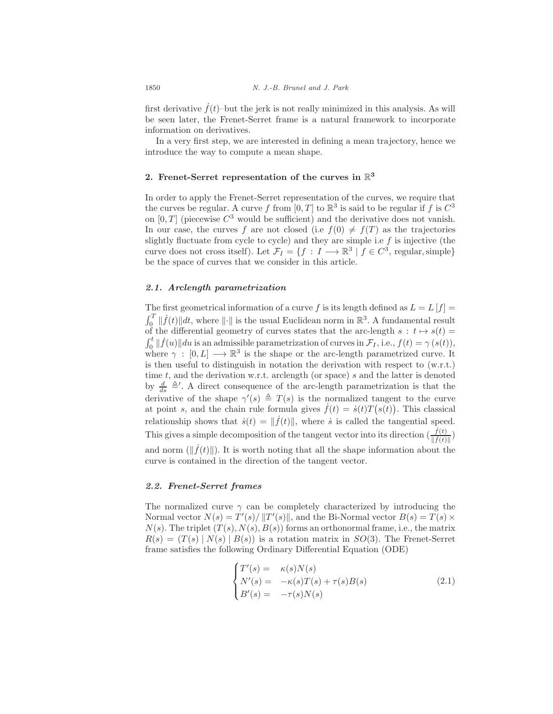first derivative  $\dot{f}(t)$ –but the jerk is not really minimized in this analysis. As will be seen later, the Frenet-Serret frame is a natural framework to incorporate information on derivatives.

In a very first step, we are interested in defining a mean trajectory, hence we introduce the way to compute a mean shape.

# 2. Frenet-Serret representation of the curves in  $\mathbb{R}^3$

In order to apply the Frenet-Serret representation of the curves, we require that the curves be regular. A curve f from  $[0, T]$  to  $\mathbb{R}^3$  is said to be regular if f is  $C^3$ on  $[0, T]$  (piecewise  $C^3$  would be sufficient) and the derivative does not vanish. In our case, the curves f are not closed (i.e  $f(0) \neq f(T)$  as the trajectories slightly fluctuate from cycle to cycle) and they are simple i.e  $f$  is injective (the curve does not cross itself). Let  $\mathcal{F}_I = \{f : I \longrightarrow \mathbb{R}^3 \mid f \in C^3$ , regular, simple be the space of curves that we consider in this article.

## 2.1. Arclength parametrization

The first geometrical information of a curve f is its length defined as  $L = L[f]$  $\int_0^T \|\dot{f}(t)\|dt$ , where  $\|\cdot\|$  is the usual Euclidean norm in  $\mathbb{R}^3$ . A fundamental result  $J_0$   $\parallel J$  ( $\ell$ ) $\parallel u$ , where  $\parallel \parallel$  is the usual Edendrian norm in  $\infty$ . A fundamental result of the differential geometry of curves states that the arc-length  $s : t \mapsto s(t)$  $\int_0^t ||\dot{f}(u)|| du$  is an admissible parametrization of curves in  $\mathcal{F}_I$ , i.e.,  $f(t) = \gamma(s(t)),$ where  $\gamma : [0, L] \longrightarrow \mathbb{R}^3$  is the shape or the arc-length parametrized curve. It is then useful to distinguish in notation the derivation with respect to (w.r.t.) time  $t$ , and the derivation w.r.t. arclength (or space)  $s$  and the latter is denoted by  $\frac{d}{ds} \triangleq'$ . A direct consequence of the arc-length parametrization is that the derivative of the shape  $\gamma'(s) \triangleq T(s)$  is the normalized tangent to the curve at point s, and the chain rule formula gives  $\dot{f}(t) = \dot{s}(t)T(s(t))$ . This classical relationship shows that  $\dot{s}(t) = ||\dot{f}(t)||$ , where  $\dot{s}$  is called the tangential speed. This gives a simple decomposition of the tangent vector into its direction  $(\frac{\dot{f}(t)}{\|\dot{f}(t)\|})$ and norm  $(\|\dot{f}(t)\|)$ . It is worth noting that all the shape information about the curve is contained in the direction of the tangent vector.

#### 2.2. Frenet-Serret frames

The normalized curve  $\gamma$  can be completely characterized by introducing the Normal vector  $N(s) = T'(s)/||T'(s)||$ , and the Bi-Normal vector  $B(s) = T(s) \times$  $N(s)$ . The triplet  $(T(s), N(s), B(s))$  forms an orthonormal frame, i.e., the matrix  $R(s) = (T(s) | N(s) | B(s))$  is a rotation matrix in  $SO(3)$ . The Frenet-Serret frame satisfies the following Ordinary Differential Equation (ODE)

$$
\begin{cases}\nT'(s) = \kappa(s)N(s) \\
N'(s) = -\kappa(s)T(s) + \tau(s)B(s) \\
B'(s) = -\tau(s)N(s)\n\end{cases}
$$
\n(2.1)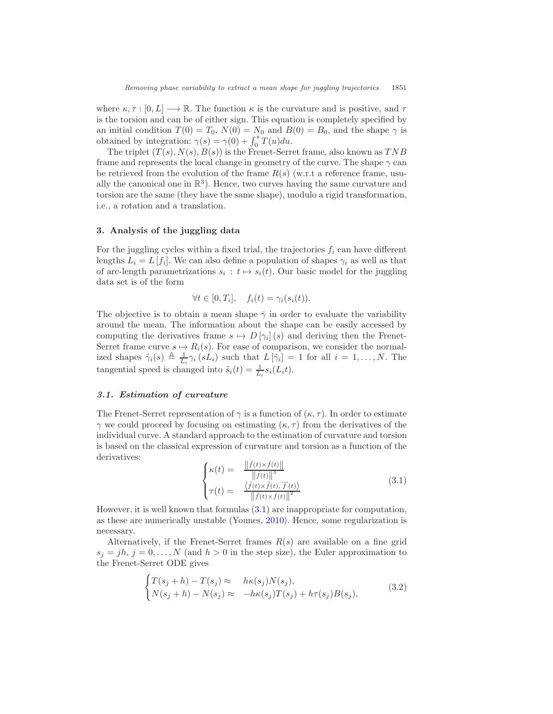where  $\kappa, \tau : [0, L] \longrightarrow \mathbb{R}$ . The function  $\kappa$  is the curvature and is positive, and  $\tau$ is the torsion and can be of either sign. This equation is completely specified by an initial condition  $T(0) = T_0$ ,  $N(0) = N_0$  and  $B(0) = B_0$ , and the shape  $\gamma$  is obtained by integration:  $\gamma(s) = \gamma(0) + \int_0^s T(u) du$ .

The triplet  $(T(s), N(s), B(s))$  is the Frenet-Serret frame, also known as TNB frame and represents the local change in geometry of the curve. The shape  $\gamma$  can be retrieved from the evolution of the frame  $R(s)$  (w.r.t a reference frame, usually the canonical one in  $\mathbb{R}^3$ ). Hence, two curves having the same curvature and torsion are the same (they have the same shape), modulo a rigid transformation, i.e., a rotation and a translation.

#### 3. Analysis of the juggling data

For the juggling cycles within a fixed trial, the trajectories  $f_i$  can have different lengths  $L_i = L[f_i]$ . We can also define a population of shapes  $\gamma_i$  as well as that of arc-length parametrizations  $s_i : t \mapsto s_i(t)$ . Our basic model for the juggling data set is of the form

$$
\forall t \in [0, T_i], \quad f_i(t) = \gamma_i(s_i(t)).
$$

The objective is to obtain a mean shape  $\bar{\gamma}$  in order to evaluate the variability around the mean. The information about the shape can be easily accessed by computing the derivatives frame  $s \mapsto D[\gamma_i](s)$  and deriving then the Frenet-Serret frame curve  $s \mapsto R_i(s)$ . For ease of comparison, we consider the normalized shapes  $\tilde{\gamma}_i(s) \triangleq \frac{1}{L_i} \gamma_i(sL_i)$  such that  $L[\tilde{\gamma}_i] = 1$  for all  $i = 1, ..., N$ . The tangential speed is changed into  $\tilde{s}_i(t) = \frac{1}{L_i} s_i(L_i t)$ .

#### 3.1. Estimation of curvature

The Frenet-Serret representation of  $\gamma$  is a function of  $(\kappa, \tau)$ . In order to estimate  $γ$  we could proceed by focusing on estimating  $(κ, τ)$  from the derivatives of the individual curve. A standard approach to the estimation of curvature and torsion is based on the classical expression of curvature and torsion as a function of the derivatives:

<span id="page-3-0"></span>
$$
\begin{cases}\n\kappa(t) = \frac{\|\ddot{f}(t) \times \dot{f}(t)\|}{\| \dot{f}(t) \|^3} \\
\tau(t) = \frac{\langle \dot{f}(t) \times \ddot{f}(t), \dddot{f}(t) \rangle}{\| \ddot{f}(t) \times \dot{f}(t) \|^2}\n\end{cases} \tag{3.1}
$$

However, it is well known that formulas [\(3.1\)](#page-3-0) are inappropriate for computation, as these are numerically unstable (Younes, [2010\)](#page-7-2). Hence, some regularization is necessary.

Alternatively, if the Frenet-Serret frames  $R(s)$  are available on a fine grid  $s_j = jh, j = 0, \ldots, N$  (and  $h > 0$  in the step size), the Euler approximation to the Frenet-Serret ODE gives

<span id="page-3-1"></span>
$$
\begin{cases}\nT(s_j + h) - T(s_j) \approx & h\kappa(s_j)N(s_j), \\
N(s_j + h) - N(s_j) \approx & -h\kappa(s_j)T(s_j) + h\tau(s_j)B(s_j),\n\end{cases}
$$
\n(3.2)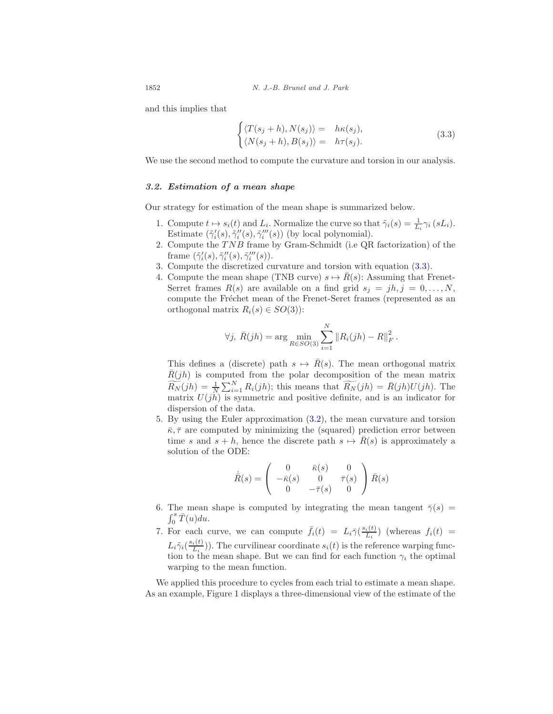1852 *N. J.-B. Brunel and J. Park*

and this implies that

<span id="page-4-0"></span>
$$
\begin{cases}\n\langle T(s_j + h), N(s_j) \rangle = h\kappa(s_j), \\
\langle N(s_j + h), B(s_j) \rangle = h\tau(s_j).\n\end{cases}
$$
\n(3.3)

We use the second method to compute the curvature and torsion in our analysis.

#### 3.2. Estimation of a mean shape

Our strategy for estimation of the mean shape is summarized below.

- 1. Compute  $t \mapsto s_i(t)$  and  $L_i$ . Normalize the curve so that  $\tilde{\gamma}_i(s) = \frac{1}{L_i} \gamma_i(sL_i)$ . Estimate  $(\tilde{\gamma}'_i(s), \tilde{\gamma}''_i(s), \tilde{\gamma}'''_i(s))$  (by local polynomial).
- 2. Compute the  $TNB$  frame by Gram-Schmidt (i.e QR factorization) of the frame  $(\tilde{\gamma}'_i(s), \tilde{\gamma}''_i(s), \tilde{\gamma}'''_i(s)).$
- 3. Compute the discretized curvature and torsion with equation [\(3.3\)](#page-4-0).
- 4. Compute the mean shape (TNB curve)  $s \mapsto \bar{R}(s)$ : Assuming that Frenet-Serret frames  $R(s)$  are available on a find grid  $s_j = jh, j = 0, \ldots, N$ , compute the Fréchet mean of the Frenet-Seret frames (represented as an orthogonal matrix  $R_i(s) \in SO(3)$ :

$$
\forall j, \ \bar{R}(jh) = \arg \min_{R \in SO(3)} \sum_{i=1}^{N} ||R_i(jh) - R||_F^2.
$$

This defines a (discrete) path  $s \mapsto \overline{R}(s)$ . The mean orthogonal matrix  $R(jh)$  is computed from the polar decomposition of the mean matrix  $\widetilde{R_N}(jh) = \frac{1}{N} \sum_{i=1}^N R_i(jh);$  this means that  $\widetilde{R_N}(jh) = \overline{R}(jh)U(jh).$  The matrix  $U(j\hat{h})$  is symmetric and positive definite, and is an indicator for dispersion of the data.

5. By using the Euler approximation [\(3.2\)](#page-3-1), the mean curvature and torsion  $\bar{\kappa}, \bar{\tau}$  are computed by minimizing the (squared) prediction error between time s and  $s + h$ , hence the discrete path  $s \mapsto \bar{R}(s)$  is approximately a solution of the ODE:

$$
\dot{\bar{R}}(s) = \left(\begin{array}{ccc} 0 & \bar{\kappa}(s) & 0 \\ -\bar{\kappa}(s) & 0 & \bar{\tau}(s) \\ 0 & -\bar{\tau}(s) & 0 \end{array}\right) \bar{R}(s)
$$

- 6. The mean shape is computed by integrating the mean tangent  $\bar{\gamma}(s)$  =  $\int_0^s \bar{T}(u) du.$
- 7. For each curve, we can compute  $\bar{f}_i(t) = L_i \bar{\gamma}(\frac{s_i(t)}{L_i})$  $\frac{i(t)}{L_i}$  (whereas  $f_i(t)$  =  $L_i\tilde{\gamma}_i(\frac{s_i(t)}{L_i})$  $\frac{i(t)}{L_i}$ ). The curvilinear coordinate  $s_i(t)$  is the reference warping function to the mean shape. But we can find for each function  $\gamma_i$  the optimal warping to the mean function.

We applied this procedure to cycles from each trial to estimate a mean shape. As an example, Figure [1](#page-5-0) displays a three-dimensional view of the estimate of the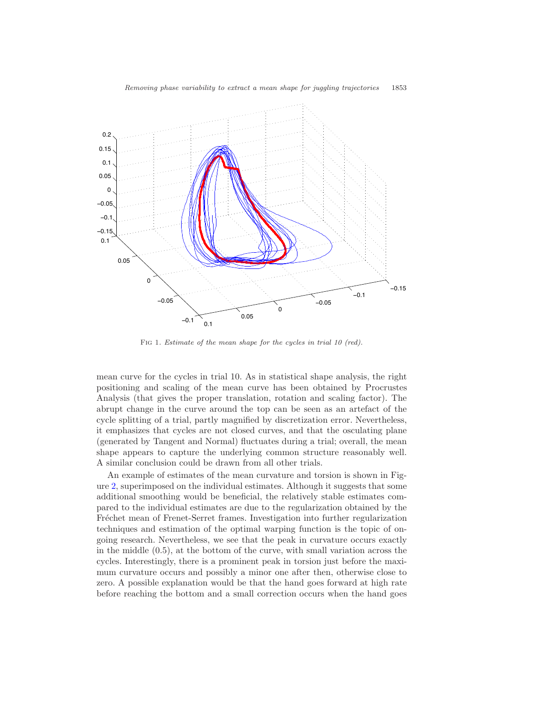

<span id="page-5-0"></span>Fig 1*. Estimate of the mean shape for the cycles in trial 10 (red).*

mean curve for the cycles in trial 10. As in statistical shape analysis, the right positioning and scaling of the mean curve has been obtained by Procrustes Analysis (that gives the proper translation, rotation and scaling factor). The abrupt change in the curve around the top can be seen as an artefact of the cycle splitting of a trial, partly magnified by discretization error. Nevertheless, it emphasizes that cycles are not closed curves, and that the osculating plane (generated by Tangent and Normal) fluctuates during a trial; overall, the mean shape appears to capture the underlying common structure reasonably well. A similar conclusion could be drawn from all other trials.

An example of estimates of the mean curvature and torsion is shown in Figure [2,](#page-6-1) superimposed on the individual estimates. Although it suggests that some additional smoothing would be beneficial, the relatively stable estimates compared to the individual estimates are due to the regularization obtained by the Fréchet mean of Frenet-Serret frames. Investigation into further regularization techniques and estimation of the optimal warping function is the topic of ongoing research. Nevertheless, we see that the peak in curvature occurs exactly in the middle (0.5), at the bottom of the curve, with small variation across the cycles. Interestingly, there is a prominent peak in torsion just before the maximum curvature occurs and possibly a minor one after then, otherwise close to zero. A possible explanation would be that the hand goes forward at high rate before reaching the bottom and a small correction occurs when the hand goes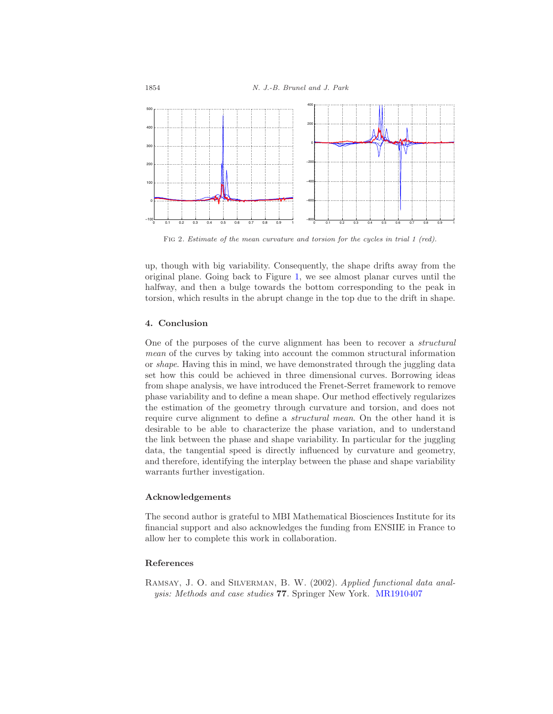

<span id="page-6-1"></span>Fig 2*. Estimate of the mean curvature and torsion for the cycles in trial 1 (red).*

up, though with big variability. Consequently, the shape drifts away from the original plane. Going back to Figure [1,](#page-5-0) we see almost planar curves until the halfway, and then a bulge towards the bottom corresponding to the peak in torsion, which results in the abrupt change in the top due to the drift in shape.

# 4. Conclusion

One of the purposes of the curve alignment has been to recover a structural mean of the curves by taking into account the common structural information or shape. Having this in mind, we have demonstrated through the juggling data set how this could be achieved in three dimensional curves. Borrowing ideas from shape analysis, we have introduced the Frenet-Serret framework to remove phase variability and to define a mean shape. Our method effectively regularizes the estimation of the geometry through curvature and torsion, and does not require curve alignment to define a *structural mean*. On the other hand it is desirable to be able to characterize the phase variation, and to understand the link between the phase and shape variability. In particular for the juggling data, the tangential speed is directly influenced by curvature and geometry, and therefore, identifying the interplay between the phase and shape variability warrants further investigation.

#### Acknowledgements

The second author is grateful to MBI Mathematical Biosciences Institute for its financial support and also acknowledges the funding from ENSIIE in France to allow her to complete this work in collaboration.

### References

<span id="page-6-0"></span>Ramsay, J. O. and Silverman, B. W. (2002). Applied functional data analysis: Methods and case studies 77. Springer New York. [MR1910407](http://www.ams.org/mathscinet-getitem?mr=1910407)